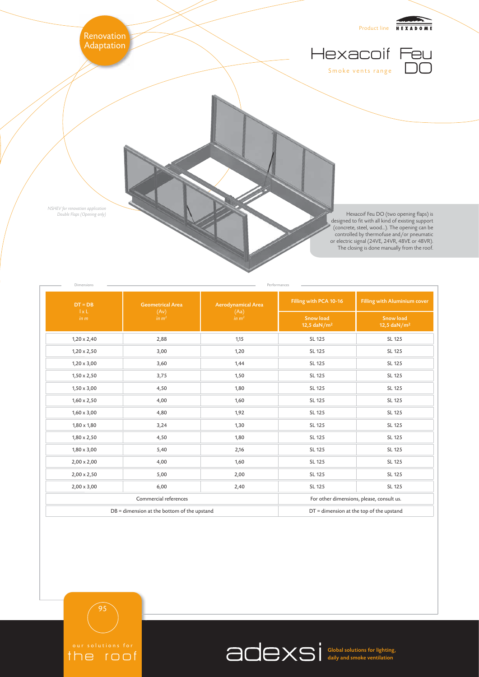

| $DT = DB$                                   | <b>Geometrical Area</b>   | <b>Aerodynamical Area</b><br>(Aa)<br>in m <sup>2</sup> | Filling with PCA 10-16                                   | Filling with Aluminium cover                |
|---------------------------------------------|---------------------------|--------------------------------------------------------|----------------------------------------------------------|---------------------------------------------|
| 1xL<br>in m                                 | (Av)<br>in m <sup>2</sup> |                                                        | <b>Snow load</b><br>12,5 $\frac{d}{dx}$ M/m <sup>2</sup> | <b>Snow load</b><br>12,5 daN/m <sup>2</sup> |
| $1,20 \times 2,40$                          | 2,88                      | 1,15                                                   | SL 125                                                   | SL 125                                      |
| $1,20 \times 2,50$                          | 3,00                      | 1,20                                                   | SL 125                                                   | SL 125                                      |
| $1,20 \times 3,00$                          | 3,60                      | 1,44                                                   | SL 125                                                   | SL 125                                      |
| $1,50 \times 2,50$                          | 3,75                      | 1,50                                                   | SL 125                                                   | SL 125                                      |
| $1,50 \times 3,00$                          | 4,50                      | 1,80                                                   | SL 125                                                   | SL 125                                      |
| $1,60 \times 2,50$                          | 4,00                      | 1,60                                                   | SL 125                                                   | SL 125                                      |
| $1,60 \times 3,00$                          | 4,80                      | 1,92                                                   | SL 125                                                   | SL 125                                      |
| $1,80 \times 1,80$                          | 3,24                      | 1,30                                                   | SL 125                                                   | SL 125                                      |
| $1,80 \times 2,50$                          | 4,50                      | 1,80                                                   | SL 125                                                   | SL 125                                      |
| $1,80 \times 3,00$                          | 5,40                      | 2,16                                                   | SL 125                                                   | SL 125                                      |
| $2,00 \times 2,00$                          | 4,00                      | 1,60                                                   | SL 125                                                   | SL 125                                      |
| $2,00 \times 2,50$                          | 5,00                      | 2,00                                                   | SL 125                                                   | SL 125                                      |
| $2,00 \times 3,00$                          | 6,00                      | 2,40                                                   | SL 125                                                   | SL 125                                      |
| Commercial references                       |                           |                                                        | For other dimensions, please, consult us.                |                                             |
| DB = dimension at the bottom of the upstand |                           |                                                        | $DT =$ dimension at the top of the upstand               |                                             |



the roof

95

Global solutions for lighting, daily and smoke ventilation